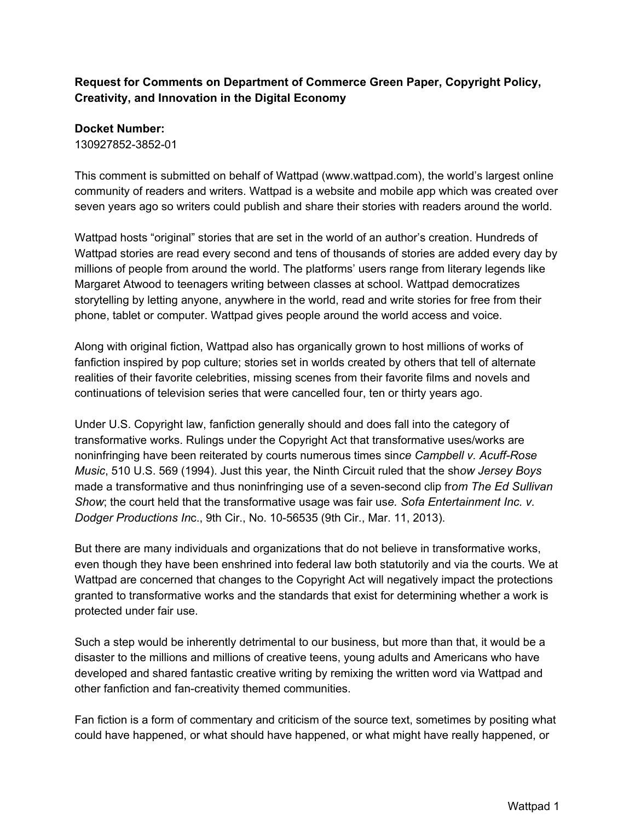## **Request for Comments on Department of Commerce Green Paper, Copyright Policy, Creativity, and Innovation in the Digital Economy**

## **Docket Number:**

130927852-3852-01

This comment is submitted on behalf of Wattpad (www.wattpad.com), the world's largest online community of readers and writers. Wattpad is a website and mobile app which was created over seven years ago so writers could publish and share their stories with readers around the world.

Wattpad hosts "original" stories that are set in the world of an author's creation. Hundreds of Wattpad stories are read every second and tens of thousands of stories are added every day by millions of people from around the world. The platforms' users range from literary legends like Margaret Atwood to teenagers writing between classes at school. Wattpad democratizes storytelling by letting anyone, anywhere in the world, read and write stories for free from their phone, tablet or computer. Wattpad gives people around the world access and voice.

Along with original fiction, Wattpad also has organically grown to host millions of works of fanfiction inspired by pop culture; stories set in worlds created by others that tell of alternate realities of their favorite celebrities, missing scenes from their favorite films and novels and continuations of television series that were cancelled four, ten or thirty years ago.

Under U.S. Copyright law, fanfiction generally should and does fall into the category of transformative works. Rulings under the Copyright Act that transformative uses/works are honinfringing have been reiterated by courts numerous times since Campbell v. Acuff-Rose *Music*, 510 U.S. 569 (1994). Just this year, the Ninth Circuit ruled that the sh*ow Jersey Boys* made a transformative and thus noninfringing use of a sevensecond clip fr*om The Ed Sullivan Show*; the court held that the transformative usage was fair us*e. Sofa Entertainment Inc. v. Dodger Productions In*c., 9th Cir., No. 1056535 (9th Cir., Mar. 11, 2013).

But there are many individuals and organizations that do not believe in transformative works, even though they have been enshrined into federal law both statutorily and via the courts. We at Wattpad are concerned that changes to the Copyright Act will negatively impact the protections granted to transformative works and the standards that exist for determining whether a work is protected under fair use.

Such a step would be inherently detrimental to our business, but more than that, it would be a disaster to the millions and millions of creative teens, young adults and Americans who have developed and shared fantastic creative writing by remixing the written word via Wattpad and other fanfiction and fan-creativity themed communities.

Fan fiction is a form of commentary and criticism of the source text, sometimes by positing what could have happened, or what should have happened, or what might have really happened, or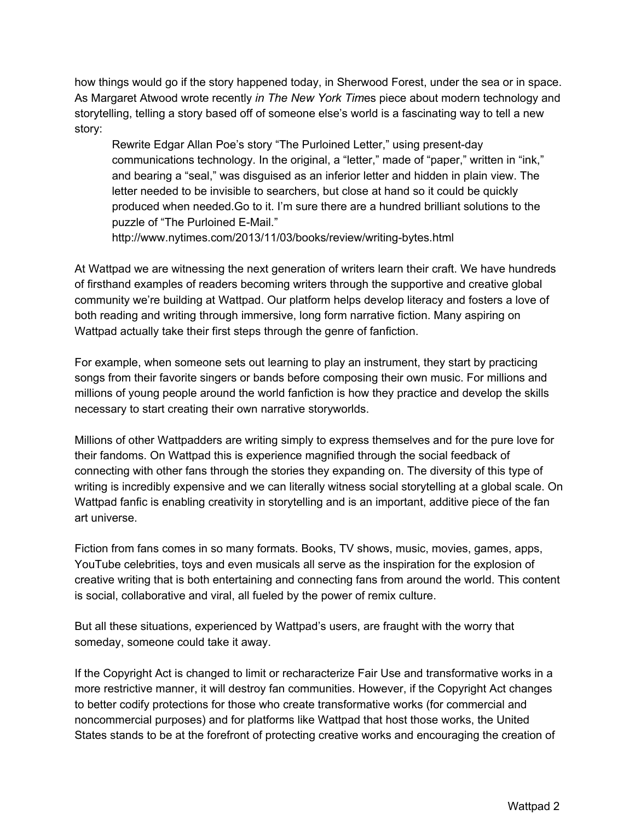how things would go if the story happened today, in Sherwood Forest, under the sea or in space. As Margaret Atwood wrote recently *in The New York Tim*es piece about modern technology and storytelling, telling a story based off of someone else's world is a fascinating way to tell a new story:

Rewrite Edgar Allan Poe's story "The Purloined Letter," using present-day communications technology. In the original, a "letter," made of "paper," written in "ink," and bearing a "seal," was disguised as an inferior letter and hidden in plain view. The letter needed to be invisible to searchers, but close at hand so it could be quickly produced when needed.Go to it. I'm sure there are a hundred brilliant solutions to the puzzle of "The Purloined E-Mail."

http://www.nytimes.com/2013/11/03/books/review/writing-bytes.html

At Wattpad we are witnessing the next generation of writers learn their craft. We have hundreds of firsthand examples of readers becoming writers through the supportive and creative global community we're building at Wattpad. Our platform helps develop literacy and fosters a love of both reading and writing through immersive, long form narrative fiction. Many aspiring on Wattpad actually take their first steps through the genre of fanfiction.

For example, when someone sets out learning to play an instrument, they start by practicing songs from their favorite singers or bands before composing their own music. For millions and millions of young people around the world fanfiction is how they practice and develop the skills necessary to start creating their own narrative storyworlds.

Millions of other Wattpadders are writing simply to express themselves and for the pure love for their fandoms. On Wattpad this is experience magnified through the social feedback of connecting with other fans through the stories they expanding on. The diversity of this type of writing is incredibly expensive and we can literally witness social storytelling at a global scale. On Wattpad fanfic is enabling creativity in storytelling and is an important, additive piece of the fan art universe.

Fiction from fans comes in so many formats. Books, TV shows, music, movies, games, apps, YouTube celebrities, toys and even musicals all serve as the inspiration for the explosion of creative writing that is both entertaining and connecting fans from around the world. This content is social, collaborative and viral, all fueled by the power of remix culture.

But all these situations, experienced by Wattpad's users, are fraught with the worry that someday, someone could take it away.

If the Copyright Act is changed to limit or recharacterize Fair Use and transformative works in a more restrictive manner, it will destroy fan communities. However, if the Copyright Act changes to better codify protections for those who create transformative works (for commercial and noncommercial purposes) and for platforms like Wattpad that host those works, the United States stands to be at the forefront of protecting creative works and encouraging the creation of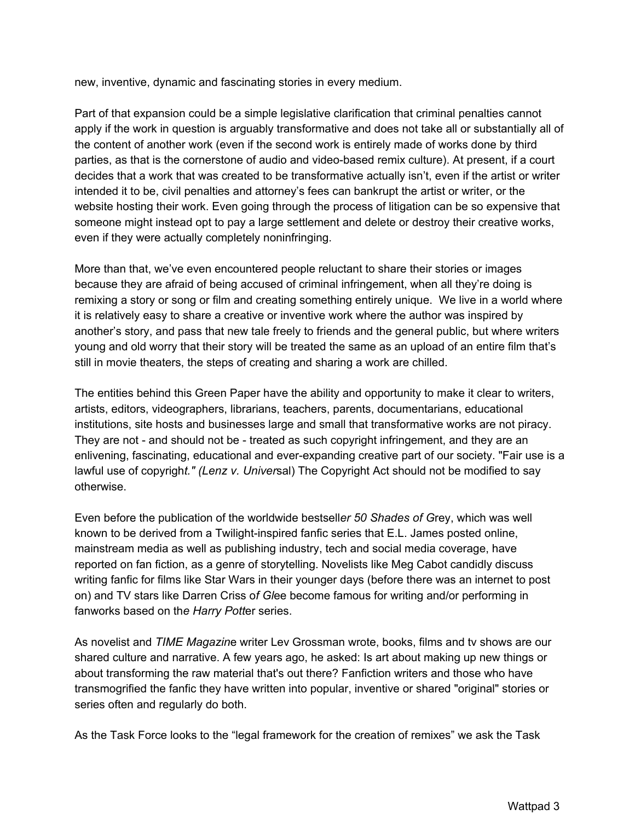new, inventive, dynamic and fascinating stories in every medium.

Part of that expansion could be a simple legislative clarification that criminal penalties cannot apply if the work in question is arguably transformative and does not take all or substantially all of the content of another work (even if the second work is entirely made of works done by third parties, as that is the cornerstone of audio and video-based remix culture). At present, if a court decides that a work that was created to be transformative actually isn't, even if the artist or writer intended it to be, civil penalties and attorney's fees can bankrupt the artist or writer, or the website hosting their work. Even going through the process of litigation can be so expensive that someone might instead opt to pay a large settlement and delete or destroy their creative works, even if they were actually completely noninfringing.

More than that, we've even encountered people reluctant to share their stories or images because they are afraid of being accused of criminal infringement, when all they're doing is remixing a story or song or film and creating something entirely unique. We live in a world where it is relatively easy to share a creative or inventive work where the author was inspired by another's story, and pass that new tale freely to friends and the general public, but where writers young and old worry that their story will be treated the same as an upload of an entire film that's still in movie theaters, the steps of creating and sharing a work are chilled.

The entities behind this Green Paper have the ability and opportunity to make it clear to writers, artists, editors, videographers, librarians, teachers, parents, documentarians, educational institutions, site hosts and businesses large and small that transformative works are not piracy. They are not - and should not be - treated as such copyright infringement, and they are an enlivening, fascinating, educational and ever-expanding creative part of our society. "Fair use is a lawful use of copyrigh*t." (Lenz v. Univer*sal) The Copyright Act should not be modified to say otherwise.

Even before the publication of the worldwide bestsell*er 50 Shades of G*rey, which was well known to be derived from a Twilight-inspired fanfic series that E.L. James posted online, mainstream media as well as publishing industry, tech and social media coverage, have reported on fan fiction, as a genre of storytelling. Novelists like Meg Cabot candidly discuss writing fanfic for films like Star Wars in their younger days (before there was an internet to post on) and TV stars like Darren Criss o*f Gl*ee become famous for writing and/or performing in fanworks based on th*e Harry Pott*er series.

As novelist and *TIME Magazin*e writer Lev Grossman wrote, books, films and tv shows are our shared culture and narrative. A few years ago, he asked: Is art about making up new things or about transforming the raw material that's out there? Fanfiction writers and those who have transmogrified the fanfic they have written into popular, inventive or shared "original" stories or series often and regularly do both.

As the Task Force looks to the "legal framework for the creation of remixes" we ask the Task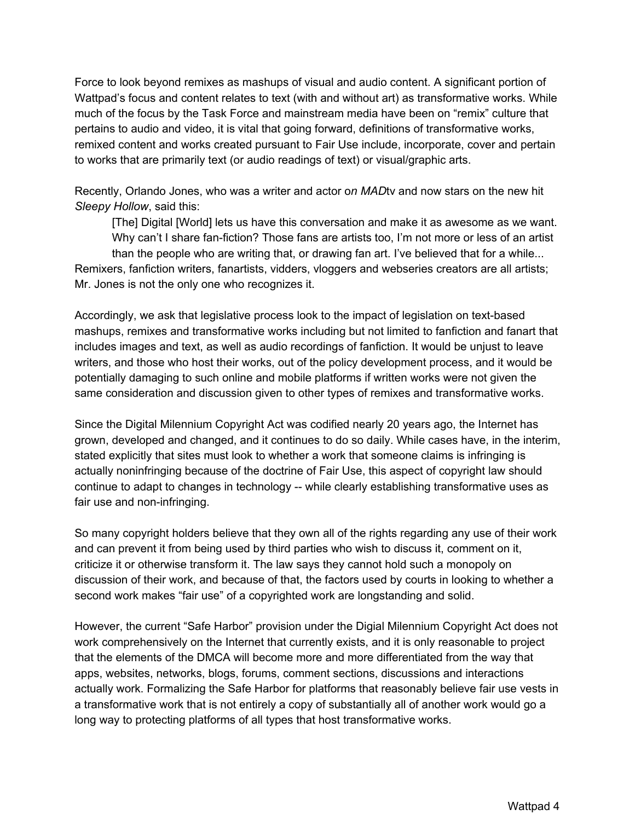Force to look beyond remixes as mashups of visual and audio content. A significant portion of Wattpad's focus and content relates to text (with and without art) as transformative works. While much of the focus by the Task Force and mainstream media have been on "remix" culture that pertains to audio and video, it is vital that going forward, definitions of transformative works, remixed content and works created pursuant to Fair Use include, incorporate, cover and pertain to works that are primarily text (or audio readings of text) or visual/graphic arts.

Recently, Orlando Jones, who was a writer and actor o*n MAD*tv and now stars on the new hit *Sleepy Hollow*, said this:

[The] Digital [World] lets us have this conversation and make it as awesome as we want. Why can't I share fan-fiction? Those fans are artists too, I'm not more or less of an artist than the people who are writing that, or drawing fan art. I've believed that for a while... Remixers, fanfiction writers, fanartists, vidders, vloggers and webseries creators are all artists; Mr. Jones is not the only one who recognizes it.

Accordingly, we ask that legislative process look to the impact of legislation on text-based mashups, remixes and transformative works including but not limited to fanfiction and fanart that includes images and text, as well as audio recordings of fanfiction. It would be unjust to leave writers, and those who host their works, out of the policy development process, and it would be potentially damaging to such online and mobile platforms if written works were not given the same consideration and discussion given to other types of remixes and transformative works.

Since the Digital Milennium Copyright Act was codified nearly 20 years ago, the Internet has grown, developed and changed, and it continues to do so daily. While cases have, in the interim, stated explicitly that sites must look to whether a work that someone claims is infringing is actually noninfringing because of the doctrine of Fair Use, this aspect of copyright law should continue to adapt to changes in technology -- while clearly establishing transformative uses as fair use and non-infringing.

So many copyright holders believe that they own all of the rights regarding any use of their work and can prevent it from being used by third parties who wish to discuss it, comment on it, criticize it or otherwise transform it. The law says they cannot hold such a monopoly on discussion of their work, and because of that, the factors used by courts in looking to whether a second work makes "fair use" of a copyrighted work are longstanding and solid.

However, the current "Safe Harbor" provision under the Digial Milennium Copyright Act does not work comprehensively on the Internet that currently exists, and it is only reasonable to project that the elements of the DMCA will become more and more differentiated from the way that apps, websites, networks, blogs, forums, comment sections, discussions and interactions actually work. Formalizing the Safe Harbor for platforms that reasonably believe fair use vests in a transformative work that is not entirely a copy of substantially all of another work would go a long way to protecting platforms of all types that host transformative works.